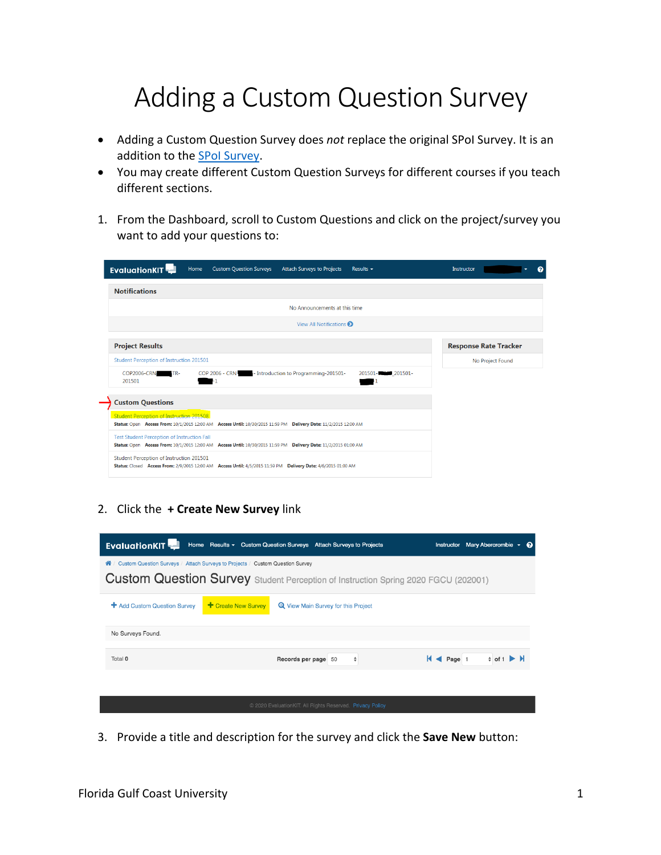## Adding a Custom Question Survey

- Adding a Custom Question Survey does *not* replace the original SPoI Survey. It is an addition to the SPoI Survey.
- You may create different Custom Question Surveys for different courses if you teach different sections.
- 1. From the Dashboard, scroll to Custom Questions and click on the project/survey you want to add your questions to:

| <b>EvaluationKIT</b>                                                                                                                                                   | Home | <b>Custom Question Surveys</b> | <b>Attach Surveys to Projects</b>     | Results $\sim$     | Instructor |                              | ค |
|------------------------------------------------------------------------------------------------------------------------------------------------------------------------|------|--------------------------------|---------------------------------------|--------------------|------------|------------------------------|---|
| <b>Notifications</b>                                                                                                                                                   |      |                                |                                       |                    |            |                              |   |
|                                                                                                                                                                        |      |                                | No Announcements at this time         |                    |            |                              |   |
|                                                                                                                                                                        |      |                                | View All Notifications                |                    |            |                              |   |
| <b>Project Results</b>                                                                                                                                                 |      |                                |                                       |                    |            | <b>Response Rate Tracker</b> |   |
| Student Perception of Instruction 201501                                                                                                                               |      |                                |                                       |                    |            | No Project Found             |   |
| <b>COP2006-CRN</b><br>-TR-<br>201501                                                                                                                                   |      | <b>COP 2006 - CRN</b>          | - Introduction to Programming-201501- | 201501-<br>201501- |            |                              |   |
| <b>Custom Questions</b>                                                                                                                                                |      |                                |                                       |                    |            |                              |   |
| Student Perception of Instruction 201508<br>Status: Open Access From: 10/1/2015 12:00 AM Access Until: 10/30/2015 11:59 PM Delivery Date: 11/2/2015 12:00 AM           |      |                                |                                       |                    |            |                              |   |
| <b>Test Student Perception of Instruction Fall</b><br>Status: Open Access From: 10/1/2015 12:00 AM Access Until: 10/30/2015 11:59 PM Delivery Date: 11/2/2015 01:00 AM |      |                                |                                       |                    |            |                              |   |
| Student Perception of Instruction 201501<br>Status: Closed Access From: 2/9/2015 12:00 AM Access Until: 4/5/2015 11:59 PM Delivery Date: 4/6/2015 01:00 AM             |      |                                |                                       |                    |            |                              |   |

## 2. Click the **+ Create New Survey** link

| <b>EvaluationKIT</b>         | Home Results - Custom Question Surveys Attach Surveys to Projects                  | Instructor Mary Abercrombie +<br>ଵ                                |
|------------------------------|------------------------------------------------------------------------------------|-------------------------------------------------------------------|
| ⋒                            | Custom Question Surveys / Attach Surveys to Projects / Custom Question Survey      |                                                                   |
|                              | Custom Question Survey Student Perception of Instruction Spring 2020 FGCU (202001) |                                                                   |
| + Add Custom Question Survey | + Create New Survey<br><b>Et</b> View Main Survey for this Project                 |                                                                   |
| No Surveys Found.            |                                                                                    |                                                                   |
| Total 0                      | Records per page 50                                                                | $\div$ of 1 $\blacktriangleright$ $\blacktriangleright$<br>Page 1 |
|                              |                                                                                    |                                                                   |
|                              | © 2020 EvaluationKIT. All Rights Reserved. Privacy Policy                          |                                                                   |

3. Provide a title and description for the survey and click the **Save New** button: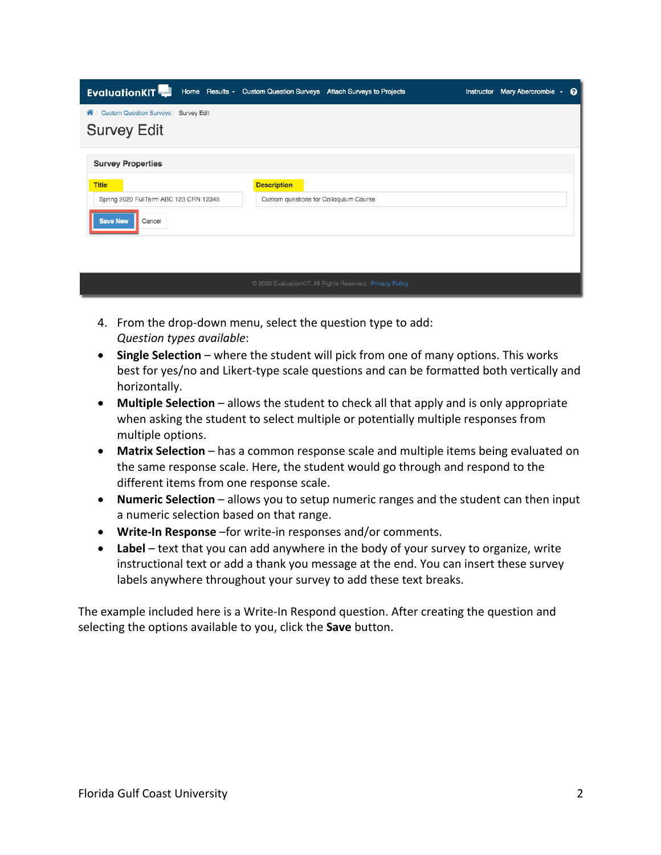| <b>EvaluationKIT</b>                       | Home Results v Custom Question Surveys Attach Surveys to Projects | Instructor Mary Abercrombie v + |  |
|--------------------------------------------|-------------------------------------------------------------------|---------------------------------|--|
| Custom Question Surveys / Survey Edit<br>⋒ |                                                                   |                                 |  |
| <b>Survey Edit</b>                         |                                                                   |                                 |  |
| <b>Survey Properties</b>                   |                                                                   |                                 |  |
| <b>Title</b>                               | <b>Description</b>                                                |                                 |  |
| Spring 2020 FullTerm ABC 123 CRN 12345     | Custom questions for Colloquium Course                            |                                 |  |
| <b>Save New</b><br>Cancel                  |                                                                   |                                 |  |
|                                            |                                                                   |                                 |  |
|                                            |                                                                   |                                 |  |
|                                            | © 2020 EvaluationKIT. All Rights Reserved. Privacy Policy         |                                 |  |

- 4. From the drop-down menu, select the question type to add: *Question types available*:
- **Single Selection** where the student will pick from one of many options. This works best for yes/no and Likert-type scale questions and can be formatted both vertically and horizontally.
- **Multiple Selection** allows the student to check all that apply and is only appropriate when asking the student to select multiple or potentially multiple responses from multiple options.
- **Matrix Selection** has a common response scale and multiple items being evaluated on the same response scale. Here, the student would go through and respond to the different items from one response scale.
- **Numeric Selection** allows you to setup numeric ranges and the student can then input a numeric selection based on that range.
- **Write-In Response** –for write-in responses and/or comments.
- **Label** text that you can add anywhere in the body of your survey to organize, write instructional text or add a thank you message at the end. You can insert these survey labels anywhere throughout your survey to add these text breaks.

The example included here is a Write-In Respond question. After creating the question and selecting the options available to you, click the **Save** button.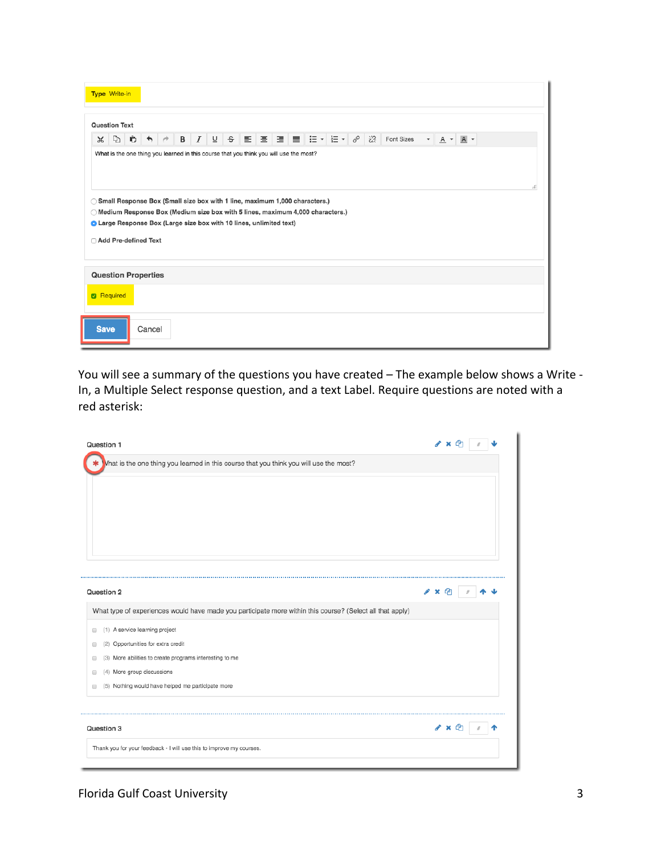|             | <b>Type Write-in</b>                                                                                                                                                                                                                                                                                                                                                     |   |                      |  |   |                  |                         |  |                                                                                                                                                     |  |  |  |   |            |                          |                 |       |  |  |
|-------------|--------------------------------------------------------------------------------------------------------------------------------------------------------------------------------------------------------------------------------------------------------------------------------------------------------------------------------------------------------------------------|---|----------------------|--|---|------------------|-------------------------|--|-----------------------------------------------------------------------------------------------------------------------------------------------------|--|--|--|---|------------|--------------------------|-----------------|-------|--|--|
|             | <b>Question Text</b>                                                                                                                                                                                                                                                                                                                                                     |   |                      |  |   |                  |                         |  |                                                                                                                                                     |  |  |  |   |            |                          |                 |       |  |  |
| $\chi$      | Þ                                                                                                                                                                                                                                                                                                                                                                        | Û | $\ddot{\phantom{1}}$ |  | B | $\boldsymbol{I}$ | $\overline{\mathsf{u}}$ |  | $S \parallel \Xi \parallel \Xi \parallel \Xi \parallel \Xi \parallel \Xi \parallel \Xi \vdash \vert \Xi \vdash \vert \Xi \vdash \vert \phi^o \vert$ |  |  |  | お | Font Sizes | $\overline{\phantom{a}}$ | $A \rightarrow$ | $A -$ |  |  |
|             | What is the one thing you learned in this course that you think you will use the most?<br>di.<br>◯ Small Response Box (Small size box with 1 line, maximum 1,000 characters.)<br>◯ Medium Response Box (Medium size box with 5 lines, maximum 4,000 characters.)<br><b>O</b> Large Response Box (Large size box with 10 lines, unlimited text)<br>□ Add Pre-defined Text |   |                      |  |   |                  |                         |  |                                                                                                                                                     |  |  |  |   |            |                          |                 |       |  |  |
|             | <b>Question Properties</b><br><b>Required</b>                                                                                                                                                                                                                                                                                                                            |   |                      |  |   |                  |                         |  |                                                                                                                                                     |  |  |  |   |            |                          |                 |       |  |  |
| <b>Save</b> |                                                                                                                                                                                                                                                                                                                                                                          |   | Cancel               |  |   |                  |                         |  |                                                                                                                                                     |  |  |  |   |            |                          |                 |       |  |  |

You will see a summary of the questions you have created – The example below shows a Write - In, a Multiple Select response question, and a text Label. Require questions are noted with a red asterisk:

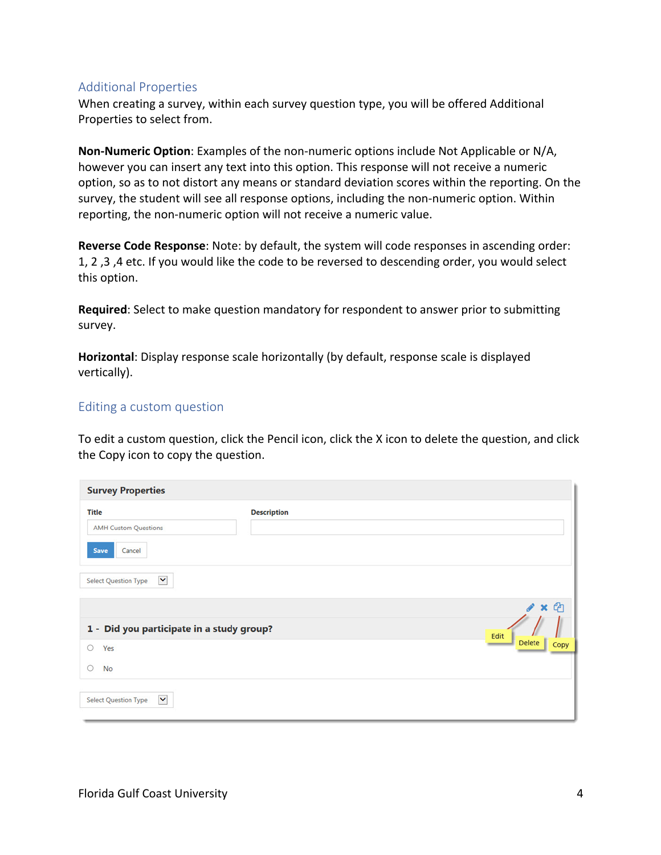## Additional Properties

When creating a survey, within each survey question type, you will be offered Additional Properties to select from.

**Non-Numeric Option**: Examples of the non-numeric options include Not Applicable or N/A, however you can insert any text into this option. This response will not receive a numeric option, so as to not distort any means or standard deviation scores within the reporting. On the survey, the student will see all response options, including the non-numeric option. Within reporting, the non-numeric option will not receive a numeric value.

**Reverse Code Response**: Note: by default, the system will code responses in ascending order: 1, 2 ,3 ,4 etc. If you would like the code to be reversed to descending order, you would select this option.

**Required**: Select to make question mandatory for respondent to answer prior to submitting survey.

**Horizontal**: Display response scale horizontally (by default, response scale is displayed vertically).

## Editing a custom question

To edit a custom question, click the Pencil icon, click the X icon to delete the question, and click the Copy icon to copy the question.

| <b>Survey Properties</b>                                      |                    |                                      |
|---------------------------------------------------------------|--------------------|--------------------------------------|
| <b>Title</b><br><b>AMH Custom Questions</b><br>Save<br>Cancel | <b>Description</b> |                                      |
| $\checkmark$<br><b>Select Question Type</b>                   |                    | $\mathbf{x}$<br>m<br><b>CONTRACT</b> |
| 1 - Did you participate in a study group?                     |                    | Edit                                 |
| O<br>Yes                                                      |                    | <b>Delete</b><br>Copy                |
| O<br><b>No</b>                                                |                    |                                      |
| $\checkmark$<br><b>Select Question Type</b>                   |                    |                                      |